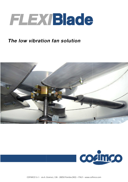

# The low vibration fan solution





COFIMCO S.r.l - via A. Gramsci, 136 - 28050 Pombia (NO) - ITALY - www.cofimco.com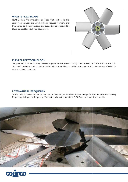### **WHAT IS FLEXI BLADE**

FLEXI Blade is the innovative fan blade that, with a flexible connection between the airfoil and hub, reduces the vibrations transmitted to the drive system and supporting structure. FLEXI Blade is available on Cofimco *B Series* fans.



#### **FLEXI BLADE TECHNOLOGY**

The patented FLEXI technology foresees a special flexible element in high tensile steel, to fix the airfoil to the hub. Compared to similar products in the market which use rubber connection components, this design is not affected by severe ambient conditions.

#### **LOW NATURAL FREQUENCY**

Thanks to flexible element design, the natural frequency of the FLEXY Blade is always far from the typical fan forcing frequency (blade passing frequency). This feature allows the use of the FLEXI Blade on motor driven by VFD.



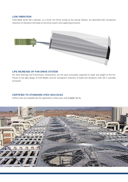## **LOW VIBRATION**

FLEXI Blade works like a damper, as a result, the forces acting on fan during rotation, are absorbed with consequent reduction of vibrations and loads on fan drive system and supporting structure.



# **LIFE INCREASE OF FAN DRIVE SYSTEM**

Fan drive bearings and transmission components, are the parts principally subjected to loads and weight of the fan. Thanks to the light design of FLEXI Blades and the consequent reduction of loads and vibrations, their life is noticebly increased.

#### **CERTIFIED TO STANDARD ATEX 2014 2014-34-EU**

Cofimco fans are available also for application in Atex area, zone **II 2G/D c IIC Tx**.

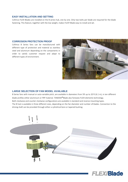# **EASY INSTALLATION AND SETTING**

Cofimco FLEXI Blades are installed on the B series hub, one b by one. Only two bolts per blade are required for the blade fastening. This feature, together with the low weight, makes FLEXY Blade easy to install and set.

#### **CORROSION PROTECTION PROOF**

Cofimco B Series fans can be manufactured with different type of protection and material as stainless steel and aluminum depending on the components in order to satisfy customer request and adapt to different types of environment.



# **LARGE SELECTION OF FAN MODEL AVAILABLE**

B Series fans with manual or auto-variable pitch, are available in diameters from 5ft up to 20 ft (6.1 m), in ten different blade profiles either aluminium or FRP material. TANDEM®Blade also foresees FLEXI elements technology. Both clockwise and counter clockwise configurations are available in standard and reverse mounting types. The B hub is available in three different sizes, depending on the fan diameter and number of blades. Connection to the driving shaft can be provided through either a cylindrical bore or tapered bushing.



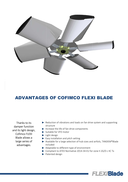

# ADVANTAGES ADVANTAGES OF COFIMCO FLEXI BLADE

Thanks to its damper function and its light design, Cofimco FLEXI Blade allows a large series of advantages.

- Reduction of vibrations and loads on fan drive system and supporting structure
- Increase the life of fan drive components
- Suitable for VFD motor
- **Light design**
- $\blacktriangleright$  Easy installation and pitch setting
- Available for a large selection of hub sizes and airfoils, TANDEM®Blade included
- Adaptable to different type of environment
- Compliant to ATEX Normative 2014-34-EU for zone II 2G/D c IIC Tx
- Patented design